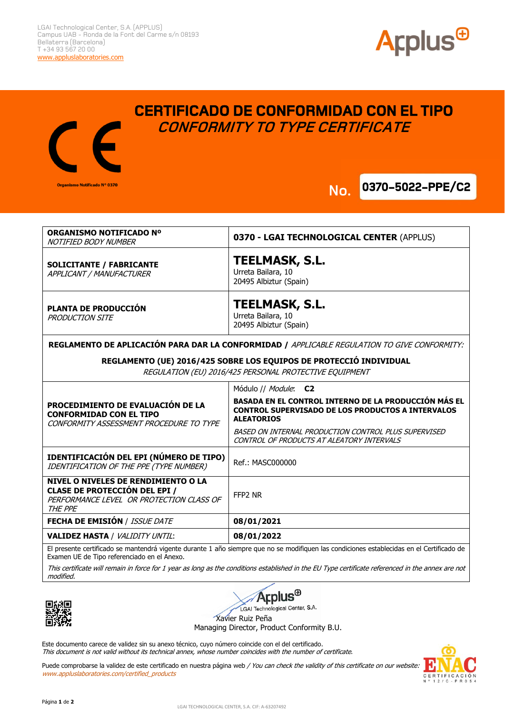

**0370-5022-PPE/C2** 



## **CERTIFICADO DE CONFORMIDAD CON EL TIPO CONFORMITY TO TYPE CERTIFICATE**

**No.**



El presente certificado se mantendrá vigente durante 1 año siempre que no se modifiquen las condiciones establecidas en el Certificado de Examen UE de Tipo referenciado en el Anexo.

This certificate will remain in force for 1 year as long as the conditions established in the EU Type certificate referenced in the annex are not modified.



*A***rplus<sup>®</sup>** LGAI Technological Center, S.A.

Xavier Ruiz Peña

Managing Director, Product Conformity B.U.

Este documento carece de validez sin su anexo técnico, cuyo número coincide con el del certificado. This document is not valid without its technical annex, whose number coincides with the number of certificate.

Puede comprobarse la validez de este certificado en nuestra página web / You can check the validity of this certificate on our website: www.appluslaboratories.com/certified\_products